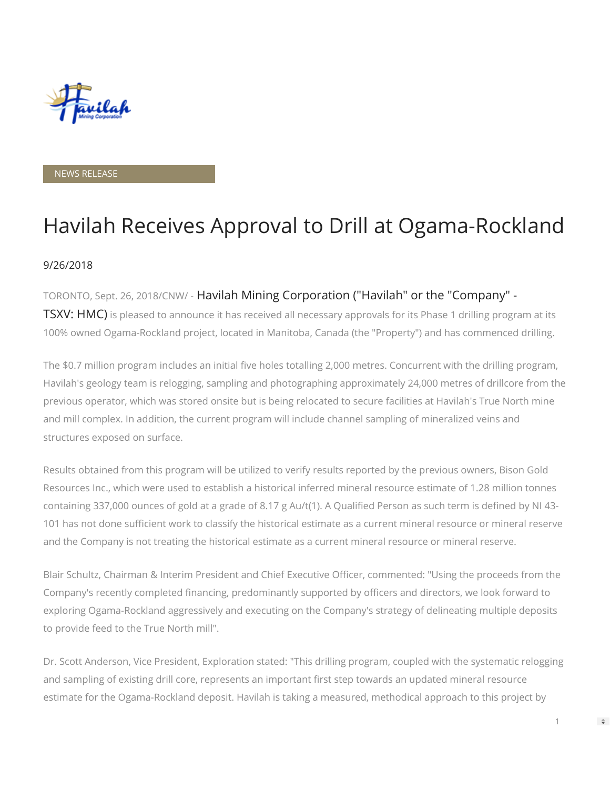

NEWS RELEASE

# Havilah Receives Approval to Drill at Ogama-Rockland

#### 9/26/2018

#### TORONTO, Sept. 26, 2018/CNW/ - Havilah Mining Corporation ("Havilah" or the "Company" -

**TSXV: HMC)** is pleased to announce it has received all necessary approvals for its Phase 1 drilling program at its 100% owned Ogama-Rockland project, located in Manitoba, Canada (the "Property") and has commenced drilling.

The \$0.7 million program includes an initial five holes totalling 2,000 metres. Concurrent with the drilling program, Havilah's geology team is relogging, sampling and photographing approximately 24,000 metres of drillcore from the previous operator, which was stored onsite but is being relocated to secure facilities at Havilah's True North mine and mill complex. In addition, the current program will include channel sampling of mineralized veins and structures exposed on surface.

Results obtained from this program will be utilized to verify results reported by the previous owners, Bison Gold Resources Inc., which were used to establish a historical inferred mineral resource estimate of 1.28 million tonnes containing 337,000 ounces of gold at a grade of 8.17 g Au/t(1). A Qualified Person as such term is defined by NI 43-101 has not done sufficient work to classify the historical estimate as a current mineral resource or mineral reserve and the Company is not treating the historical estimate as a current mineral resource or mineral reserve.

Blair Schultz, Chairman & Interim President and Chief Executive Officer, commented: "Using the proceeds from the Company's recently completed financing, predominantly supported by officers and directors, we look forward to exploring Ogama-Rockland aggressively and executing on the Company's strategy of delineating multiple deposits to provide feed to the True North mill".

Dr. Scott Anderson, Vice President, Exploration stated: "This drilling program, coupled with the systematic relogging and sampling of existing drill core, represents an important first step towards an updated mineral resource estimate for the Ogama-Rockland deposit. Havilah is taking a measured, methodical approach to this project by

 $\Rightarrow$ 

1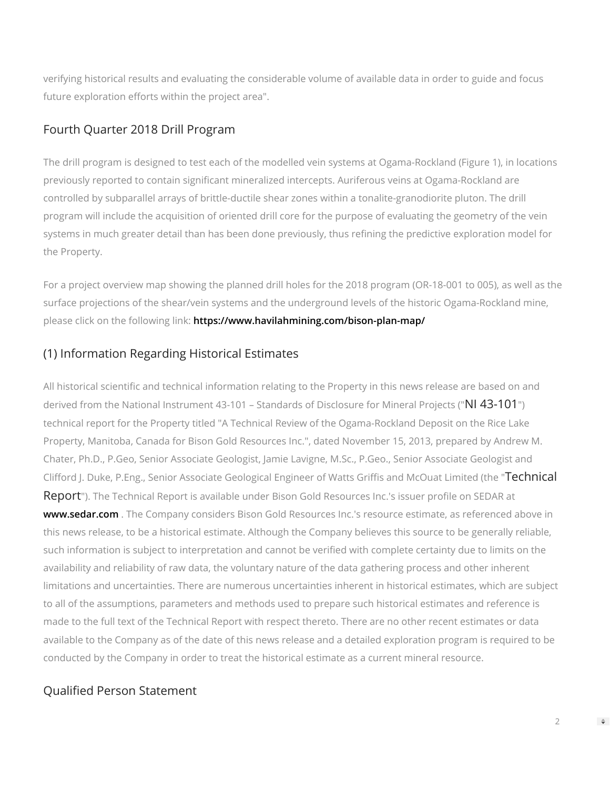verifying historical results and evaluating the considerable volume of available data in order to guide and focus future exploration efforts within the project area".

#### Fourth Quarter 2018 Drill Program

The drill program is designed to test each of the modelled vein systems at Ogama-Rockland (Figure 1), in locations previously reported to contain significant mineralized intercepts. Auriferous veins at Ogama-Rockland are controlled by subparallel arrays of brittle-ductile shear zones within a tonalite-granodiorite pluton. The drill program will include the acquisition of oriented drill core for the purpose of evaluating the geometry of the vein systems in much greater detail than has been done previously, thus refining the predictive exploration model for the Property.

For a project overview map showing the planned drill holes for the 2018 program (OR-18-001 to 005), as well as the surface projections of the shear/vein systems and the underground levels of the historic Ogama-Rockland mine, please click on the following link: <https://www.havilahmining.com/bison-plan-map/>

# (1) Information Regarding Historical Estimates

All historical scientific and technical information relating to the Property in this news release are based on and derived from the National Instrument 43-101 – Standards of Disclosure for Mineral Projects ("NI 43-101") technical report for the Property titled "A Technical Review of the Ogama-Rockland Deposit on the Rice Lake Property, Manitoba, Canada for Bison Gold Resources Inc.", dated November 15, 2013, prepared by Andrew M. Chater, Ph.D., P.Geo, Senior Associate Geologist, Jamie Lavigne, M.Sc., P.Geo., Senior Associate Geologist and Clifford J. Duke, P.Eng., Senior Associate Geological Engineer of Watts Griffis and McOuat Limited (the "Technical Report"). The Technical Report is available under Bison Gold Resources Inc.'s issuer profile on SEDAR at [www.sedar.com](http://www.sedar.com/). The Company considers Bison Gold Resources Inc.'s resource estimate, as referenced above in this news release, to be a historical estimate. Although the Company believes this source to be generally reliable, such information is subject to interpretation and cannot be verified with complete certainty due to limits on the availability and reliability of raw data, the voluntary nature of the data gathering process and other inherent limitations and uncertainties. There are numerous uncertainties inherent in historical estimates, which are subject to all of the assumptions, parameters and methods used to prepare such historical estimates and reference is made to the full text of the Technical Report with respect thereto. There are no other recent estimates or data available to the Company as of the date of this news release and a detailed exploration program is required to be conducted by the Company in order to treat the historical estimate as a current mineral resource.

## Qualified Person Statement

 $\Rightarrow$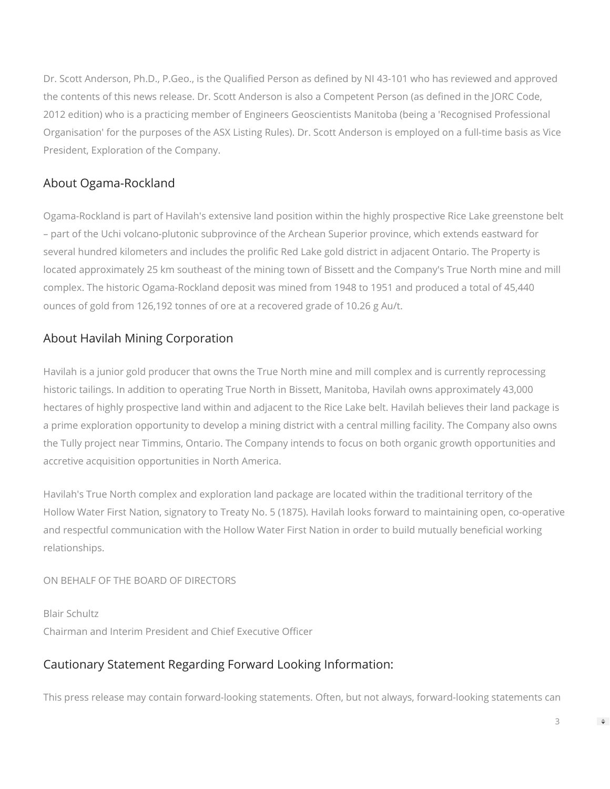Dr. Scott Anderson, Ph.D., P.Geo., is the Qualified Person as defined by NI 43-101 who has reviewed and approved the contents of this news release. Dr. Scott Anderson is also a Competent Person (as defined in the JORC Code, 2012 edition) who is a practicing member of Engineers Geoscientists Manitoba (being a 'Recognised Professional Organisation' for the purposes of the ASX Listing Rules). Dr. Scott Anderson is employed on a full-time basis as Vice President, Exploration of the Company.

# About Ogama-Rockland

Ogama-Rockland is part of Havilah's extensive land position within the highly prospective Rice Lake greenstone belt – part of the Uchi volcano-plutonic subprovince of the Archean Superior province, which extends eastward for several hundred kilometers and includes the prolific Red Lake gold district in adjacent Ontario. The Property is located approximately 25 km southeast of the mining town of Bissett and the Company's True North mine and mill complex. The historic Ogama-Rockland deposit was mined from 1948 to 1951 and produced a total of 45,440 ounces of gold from 126,192 tonnes of ore at a recovered grade of 10.26 g Au/t.

### About Havilah Mining Corporation

Havilah is a junior gold producer that owns the True North mine and mill complex and is currently reprocessing historic tailings. In addition to operating True North in Bissett, Manitoba, Havilah owns approximately 43,000 hectares of highly prospective land within and adjacent to the Rice Lake belt. Havilah believes their land package is a prime exploration opportunity to develop a mining district with a central milling facility. The Company also owns the Tully project near Timmins, Ontario. The Company intends to focus on both organic growth opportunities and accretive acquisition opportunities in North America.

Havilah's True North complex and exploration land package are located within the traditional territory of the Hollow Water First Nation, signatory to Treaty No. 5 (1875). Havilah looks forward to maintaining open, co-operative and respectful communication with the Hollow Water First Nation in order to build mutually beneficial working relationships.

#### ON BEHALF OF THE BOARD OF DIRECTORS

Blair Schultz Chairman and Interim President and Chief Executive Officer

#### Cautionary Statement Regarding Forward Looking Information:

This press release may contain forward-looking statements. Often, but not always, forward-looking statements can

 $\Rightarrow$ 

3